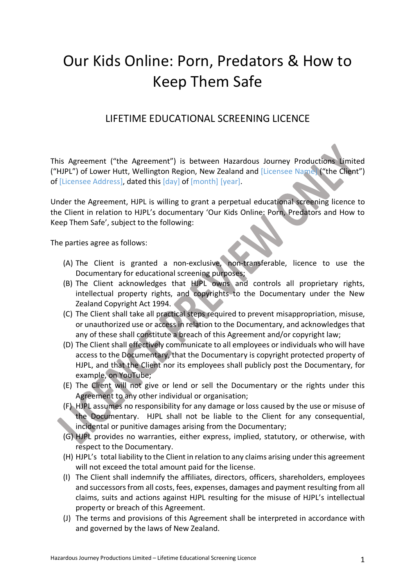## Our Kids Online: Porn, Predators & How to Keep Them Safe

## LIFETIME EDUCATIONAL SCREENING LICENCE

This Agreement ("the Agreement") is between Hazardous Journey Productions Limited ("HJPL") of Lower Hutt, Wellington Region, New Zealand and [Licensee Name] ("the Client") of [Licensee Address], dated this [day] of [month] [year].

Under the Agreement, HJPL is willing to grant a perpetual educational screening licence to the Client in relation to HJPL's documentary 'Our Kids Online: Porn, Predators and How to Keep Them Safe', subject to the following:

The parties agree as follows:

- (A) The Client is granted a non-exclusive, non-transferable, licence to use the Documentary for educational screening purposes;
- (B) The Client acknowledges that HJPL owns and controls all proprietary rights, intellectual property rights, and copyrights to the Documentary under the New Zealand Copyright Act 1994.
- (C) The Client shall take all practical steps required to prevent misappropriation, misuse, or unauthorized use or access in relation to the Documentary, and acknowledges that any of these shall constitute a breach of this Agreement and/or copyright law;
- (D) The Client shall effectively communicate to all employees or individuals who will have access to the Documentary, that the Documentary is copyright protected property of HJPL, and that the Client nor its employees shall publicly post the Documentary, for example, on YouTube;
- (E) The Client will not give or lend or sell the Documentary or the rights under this Agreement to any other individual or organisation;
- (F) HJPL assumes no responsibility for any damage or loss caused by the use or misuse of the Documentary. HJPL shall not be liable to the Client for any consequential, incidental or punitive damages arising from the Documentary;
- (G) HJPL provides no warranties, either express, implied, statutory, or otherwise, with respect to the Documentary.
- (H) HJPL's total liability to the Client in relation to any claims arising under this agreement will not exceed the total amount paid for the license.
- (I) The Client shall indemnify the affiliates, directors, officers, shareholders, employees and successors from all costs, fees, expenses, damages and payment resulting from all claims, suits and actions against HJPL resulting for the misuse of HJPL's intellectual property or breach of this Agreement.
- (J) The terms and provisions of this Agreement shall be interpreted in accordance with and governed by the laws of New Zealand.